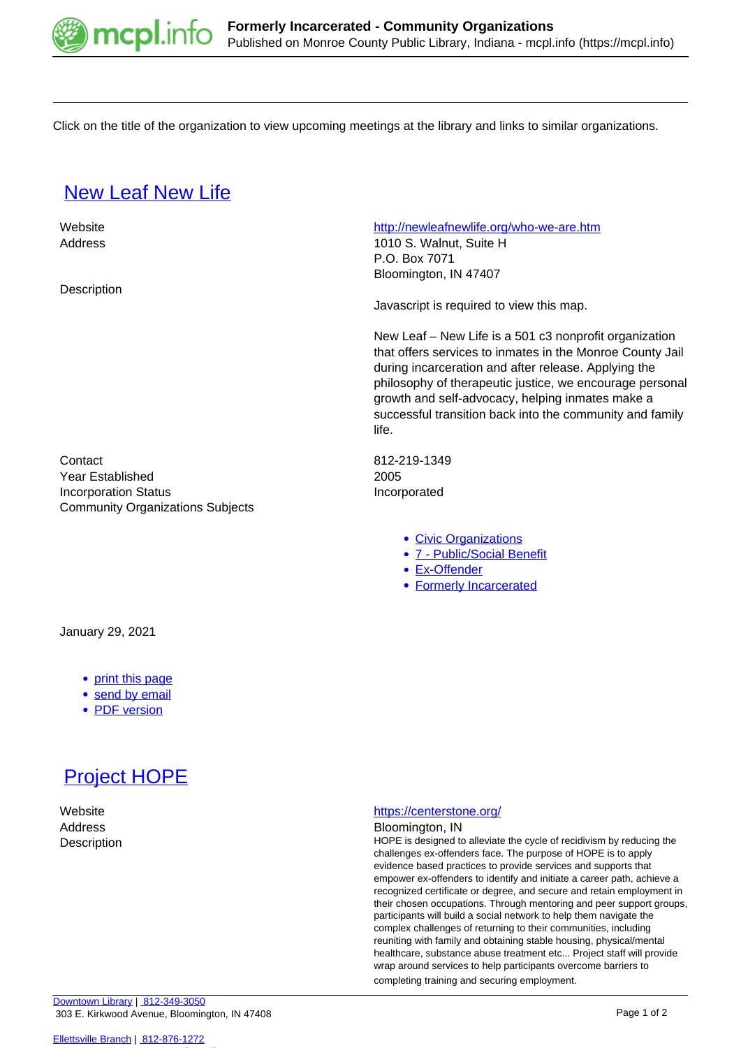

Click on the title of the organization to view upcoming meetings at the library and links to similar organizations.

## **[New Leaf New Life](https://mcpl.info/commorg/new-leaf-new-life)**

 Website <http://newleafnewlife.org/who-we-are.htm> Address 1010 S. Walnut, Suite H P.O. Box 7071 Bloomington, IN 47407 **Description** Javascript is required to view this map. New Leaf – New Life is a 501 c3 nonprofit organization that offers services to inmates in the Monroe County Jail during incarceration and after release. Applying the philosophy of therapeutic justice, we encourage personal growth and self-advocacy, helping inmates make a successful transition back into the community and family life. Contact 812-219-1349 Year Established 2005 Incorporation Status **Incorporated** Community Organizations Subjects [Civic Organizations](https://mcpl.info/community-organization-subjects/civic-organizations) [7 - Public/Social Benefit](https://mcpl.info/taxonomy/term/24952) [Ex-Offender](https://mcpl.info/taxonomy/term/24994)

## [Formerly Incarcerated](https://mcpl.info/community-organization-subjects/formerly-incarcerated)

January 29, 2021

- [print this page](https://mcpl.info/print/commorg/new-leaf-new-life)
- [send by email](https://mcpl.info/printmail/commorg/new-leaf-new-life)
- [PDF version](https://mcpl.info/printpdf/commorg/new-leaf-new-life)



## Website <https://centerstone.org/>

Address Bloomington, IN

Description **Description EXEC 10** HOPE is designed to alleviate the cycle of recidivism by reducing the challenges ex-offenders face. The purpose of HOPE is to apply evidence based practices to provide services and supports that empower ex-offenders to identify and initiate a career path, achieve a recognized certificate or degree, and secure and retain employment in their chosen occupations. Through mentoring and peer support groups, participants will build a social network to help them navigate the complex challenges of returning to their communities, including reuniting with family and obtaining stable housing, physical/mental healthcare, substance abuse treatment etc... Project staff will provide wrap around services to help participants overcome barriers to completing training and securing employment.